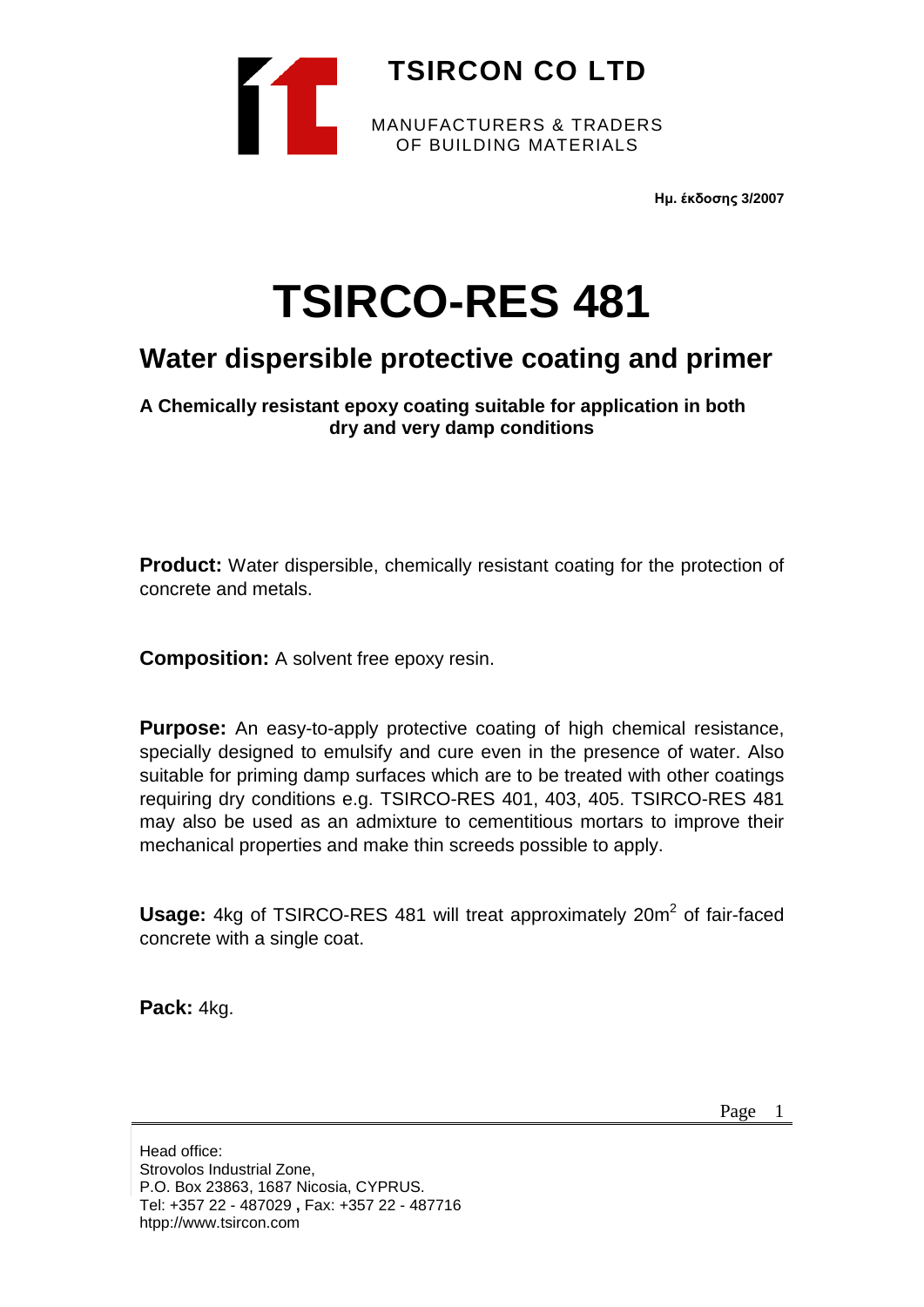

**Ημ. έκδοσης 3/2007**

# **TSIRCO-RES 481**

# **Water dispersible protective coating and primer**

**A Chemically resistant epoxy coating suitable for application in both dry and very damp conditions**

**Product:** Water dispersible, chemically resistant coating for the protection of concrete and metals.

**Composition:** A solvent free epoxy resin.

**Purpose:** An easy-to-apply protective coating of high chemical resistance, specially designed to emulsify and cure even in the presence of water. Also suitable for priming damp surfaces which are to be treated with other coatings requiring dry conditions e.g. TSIRCO-RES 401, 403, 405. TSIRCO-RES 481 may also be used as an admixture to cementitious mortars to improve their mechanical properties and make thin screeds possible to apply.

**Usage:** 4kg of TSIRCO-RES 481 will treat approximately 20m<sup>2</sup> of fair-faced concrete with a single coat.

**Pack:** 4kg.

Page 1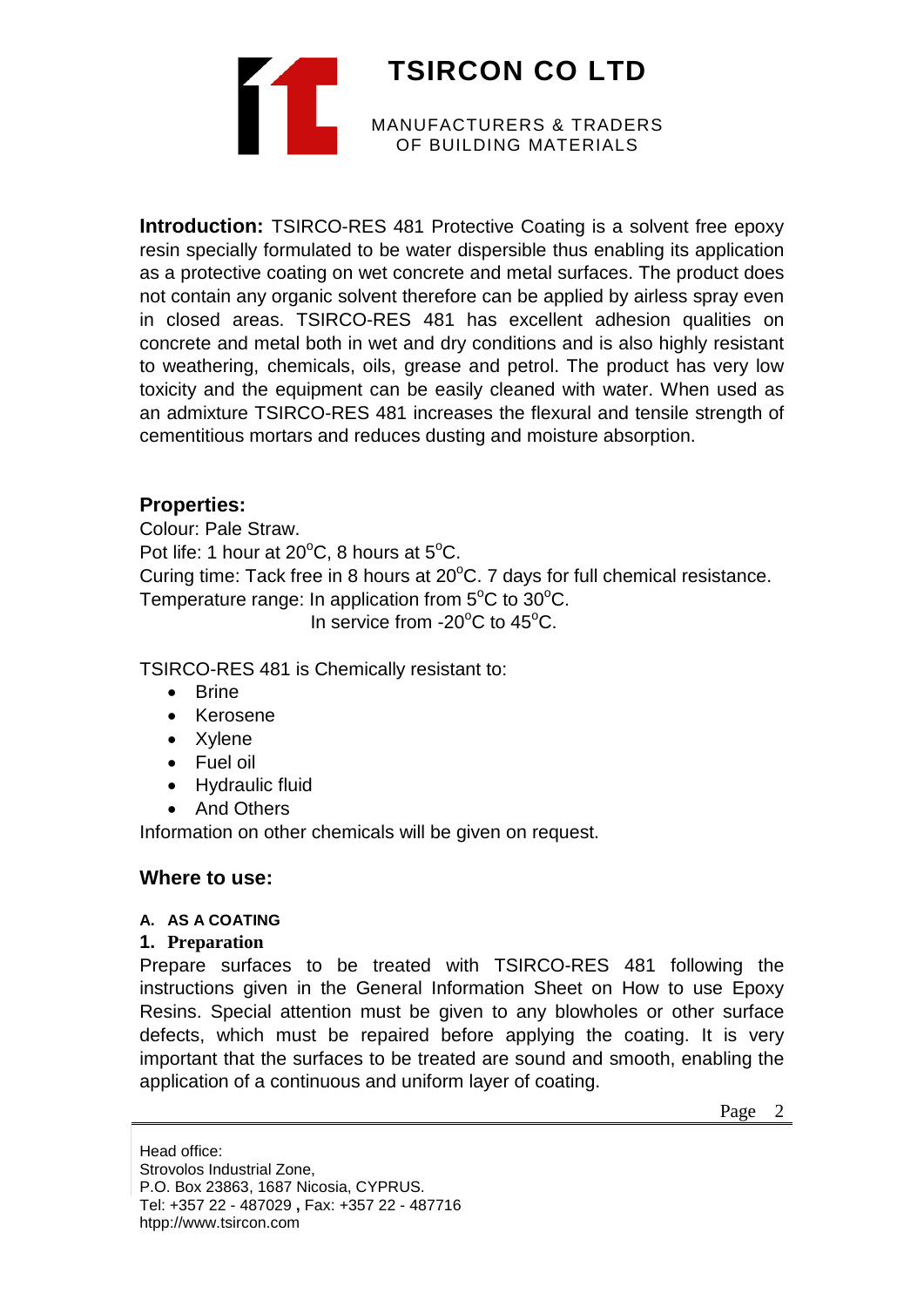

**Introduction:** TSIRCO-RES 481 Protective Coating is a solvent free epoxy resin specially formulated to be water dispersible thus enabling its application as a protective coating on wet concrete and metal surfaces. The product does not contain any organic solvent therefore can be applied by airless spray even in closed areas. TSIRCO-RES 481 has excellent adhesion qualities on concrete and metal both in wet and dry conditions and is also highly resistant to weathering, chemicals, oils, grease and petrol. The product has very low toxicity and the equipment can be easily cleaned with water. When used as an admixture TSIRCO-RES 481 increases the flexural and tensile strength of cementitious mortars and reduces dusting and moisture absorption.

# **Properties:**

Colour: Pale Straw. Pot life: 1 hour at  $20^{\circ}$ C, 8 hours at  $5^{\circ}$ C. Curing time: Tack free in 8 hours at  $20^{\circ}$ C. 7 days for full chemical resistance. Temperature range: In application from  $5^{\circ}$ C to 30 $^{\circ}$ C. In service from -20 $\mathrm{^{\circ}C}$  to 45 $\mathrm{^{\circ}C}$ .

TSIRCO-RES 481 is Chemically resistant to:

- Brine
- Kerosene
- Xylene
- Fuel oil
- Hydraulic fluid
- And Others

Information on other chemicals will be given on request.

# **Where to use:**

# **A. AS A COATING**

#### **1. Preparation**

Prepare surfaces to be treated with TSIRCO-RES 481 following the instructions given in the General Information Sheet on How to use Epoxy Resins. Special attention must be given to any blowholes or other surface defects, which must be repaired before applying the coating. It is very important that the surfaces to be treated are sound and smooth, enabling the application of a continuous and uniform layer of coating.

Page 2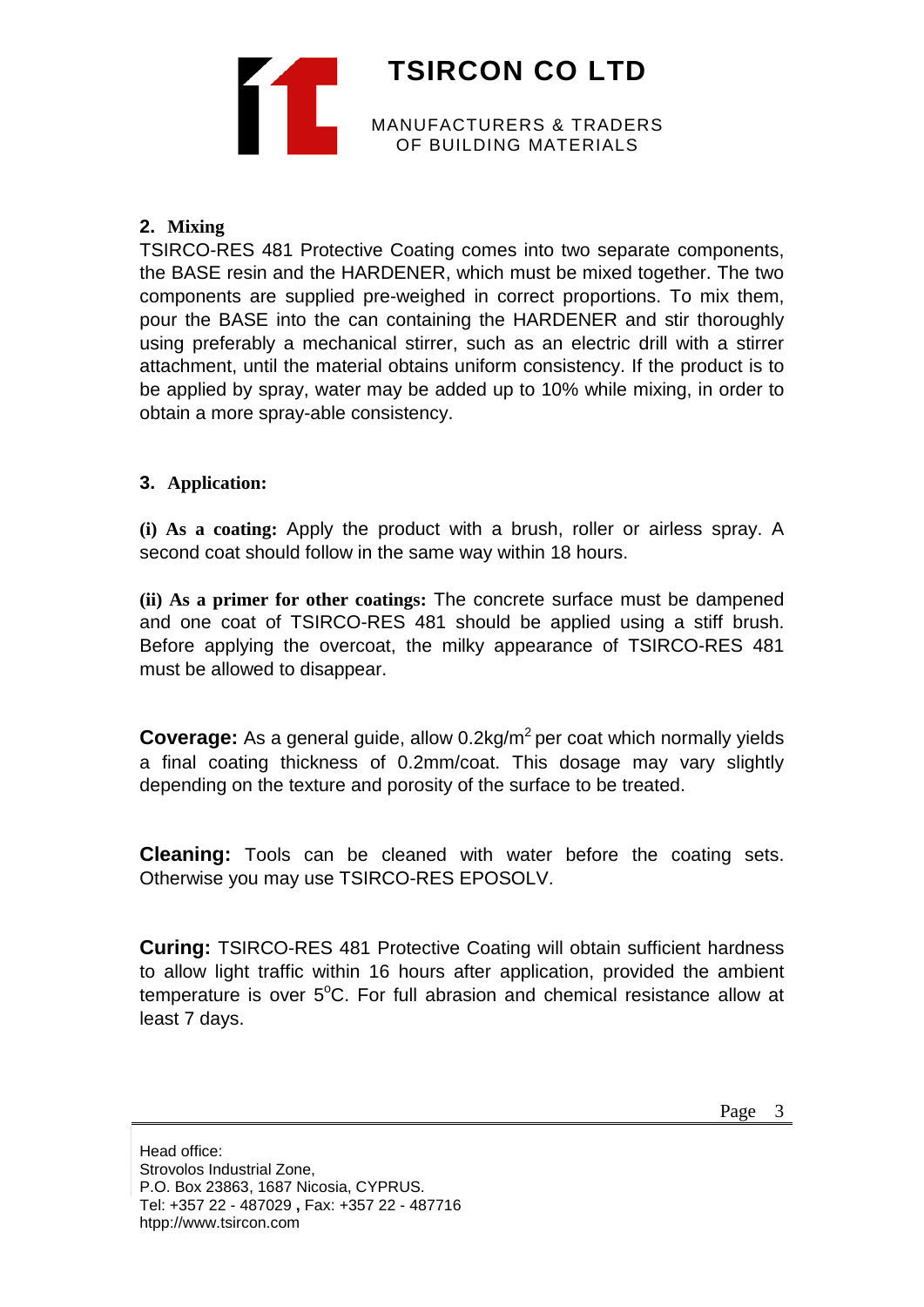

### **2. Mixing**

TSIRCO-RES 481 Protective Coating comes into two separate components, the BASE resin and the HARDENER, which must be mixed together. The two components are supplied pre-weighed in correct proportions. To mix them, pour the BASE into the can containing the HARDENER and stir thoroughly using preferably a mechanical stirrer, such as an electric drill with a stirrer attachment, until the material obtains uniform consistency. If the product is to be applied by spray, water may be added up to 10% while mixing, in order to obtain a more spray-able consistency.

#### **3. Application:**

**(i) As a coating:** Apply the product with a brush, roller or airless spray. A second coat should follow in the same way within 18 hours.

**(ii) As a primer for other coatings:** The concrete surface must be dampened and one coat of TSIRCO-RES 481 should be applied using a stiff brush. Before applying the overcoat, the milky appearance of TSIRCO-RES 481 must be allowed to disappear.

**Coverage:** As a general guide, allow 0.2kg/m<sup>2</sup> per coat which normally vields a final coating thickness of 0.2mm/coat. This dosage may vary slightly depending on the texture and porosity of the surface to be treated.

**Cleaning:** Tools can be cleaned with water before the coating sets. Otherwise you may use TSIRCO-RES EPOSOLV.

**Curing:** TSIRCO-RES 481 Protective Coating will obtain sufficient hardness to allow light traffic within 16 hours after application, provided the ambient temperature is over  $5^{\circ}$ C. For full abrasion and chemical resistance allow at least 7 days.